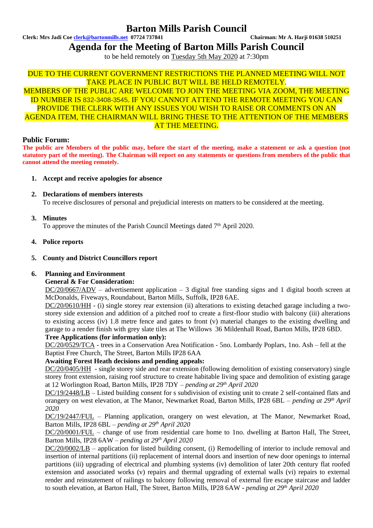# **Barton Mills Parish Council**

**Clerk: Mrs Jadi Coe [clerk@bartonmills.net](mailto:clerk@bartonmills.net) 07724 737841 Chairman: Mr A. Harji 01638 510251**

**Agenda for the Meeting of Barton Mills Parish Council**

to be held remotely on Tuesday 5th May 2020 at 7:30pm

## DUE TO THE CURRENT GOVERNMENT RESTRICTIONS THE PLANNED MEETING WILL NOT TAKE PLACE IN PUBLIC BUT WILL BE HELD REMOTELY.

MEMBERS OF THE PUBLIC ARE WELCOME TO JOIN THE MEETING VIA ZOOM, THE MEETING ID NUMBER IS 832-3408-3545. IF YOU CANNOT ATTEND THE REMOTE MEETING YOU CAN PROVIDE THE CLERK WITH ANY ISSUES YOU WISH TO RAISE OR COMMENTS ON AN AGENDA ITEM, THE CHAIRMAN WILL BRING THESE TO THE ATTENTION OF THE MEMBERS AT THE MEETING.

### **Public Forum:**

**The public are Members of the public may, before the start of the meeting, make a statement or ask a question (not statutory part of the meeting). The Chairman will report on any statements or questions from members of the public that cannot attend the meeting remotely.**

- **1. Accept and receive apologies for absence**
- **2. Declarations of members interests** To receive disclosures of personal and prejudicial interests on matters to be considered at the meeting.
- **3. Minutes**

To approve the minutes of the Parish Council Meetings dated  $7<sup>th</sup>$  April 2020.

### **4. Police reports**

**5. County and District Councillors report**

## **6. Planning and Environment**

## **General & For Consideration:**

 $DC/20/0667/ADV$  – advertisement application – 3 digital free standing signs and 1 digital booth screen at McDonalds, Fiveways, Roundabout, Barton Mills, Suffolk, IP28 6AE.

DC/20/0610/HH - (i) single storey rear extension (ii) alterations to existing detached garage including a twostorey side extension and addition of a pitched roof to create a first-floor studio with balcony (iii) alterations to existing access (iv) 1.8 metre fence and gates to front (v) material changes to the existing dwelling and garage to a render finish with grey slate tiles at The Willows 36 Mildenhall Road, Barton Mills, IP28 6BD.

### **Tree Applications (for information only):**

DC/20/0529/TCA - trees in a Conservation Area Notification - 5no. Lombardy Poplars, 1no. Ash – fell at the Baptist Free Church, The Street, Barton Mills IP28 6AA

## **Awaiting Forest Heath decisions and pending appeals:**

DC/20/0405/HH - single storey side and rear extension (following demolition of existing conservatory) single storey front extension, raising roof structure to create habitable living space and demolition of existing garage at 12 Worlington Road, Barton Mills, IP28 7DY *– pending at 29 th April 2020*

DC/19/2448/LB – Listed building consent for s subdivision of existing unit to create 2 self-contained flats and orangery on west elevation, at The Manor, Newmarket Road, Barton Mills, IP28 6BL – *pending at 29<sup>th</sup>* April *2020*

DC/19/2447/FUL – Planning application, orangery on west elevation, at The Manor, Newmarket Road, Barton Mills, IP28 6BL *– pending at 29 th April 2020*

DC/20/0001/FUL – change of use from residential care home to 1no. dwelling at Barton Hall, The Street, Barton Mills, IP28 6AW *– pending at 29 th April 2020*

DC/20/0002/LB – application for listed building consent, (i) Remodelling of interior to include removal and insertion of internal partitions (ii) replacement of internal doors and insertion of new door openings to internal partitions (iii) upgrading of electrical and plumbing systems (iv) demolition of later 20th century flat roofed extension and associated works (v) repairs and thermal upgrading of external walls (vi) repairs to external render and reinstatement of railings to balcony following removal of external fire escape staircase and ladder to south elevation, at Barton Hall, The Street, Barton Mills, IP28 6AW **-** *pending at 29 th April 2020*